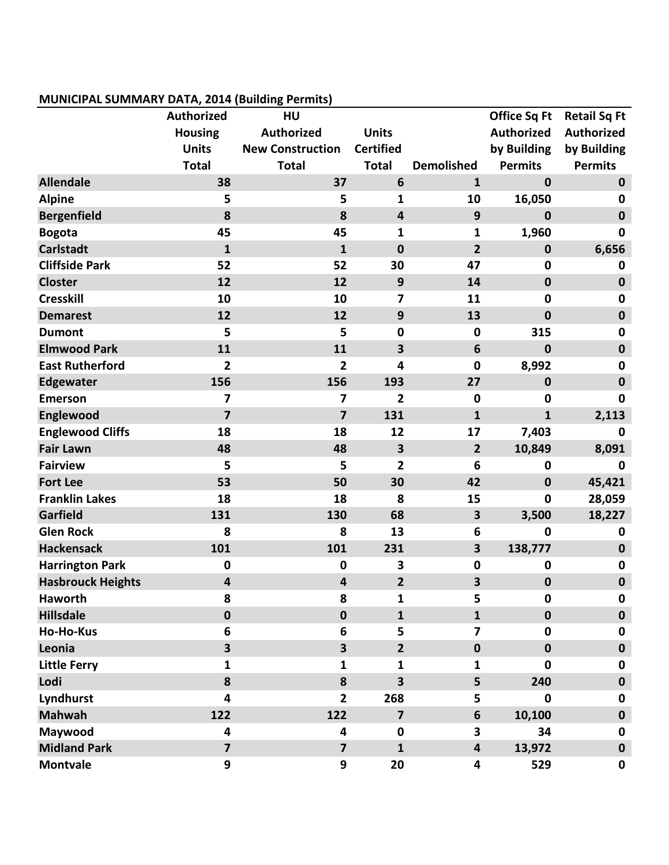## **MUNICIPAL SUMMARY DATA, 2014 (Building Permits)**

|                          |                         | --- 1------<br>סי       |                         |                         |                     |                     |
|--------------------------|-------------------------|-------------------------|-------------------------|-------------------------|---------------------|---------------------|
|                          | <b>Authorized</b>       | HU                      |                         |                         | <b>Office Sq Ft</b> | <b>Retail Sq Ft</b> |
|                          | <b>Housing</b>          | <b>Authorized</b>       | <b>Units</b>            |                         | Authorized          | Authorized          |
|                          | <b>Units</b>            | <b>New Construction</b> | <b>Certified</b>        |                         | by Building         | by Building         |
|                          | <b>Total</b>            | <b>Total</b>            | <b>Total</b>            | <b>Demolished</b>       | <b>Permits</b>      | <b>Permits</b>      |
| <b>Allendale</b>         | 38                      | 37                      | $6\phantom{1}$          | $\mathbf{1}$            | $\mathbf 0$         | $\pmb{0}$           |
| <b>Alpine</b>            | 5                       | 5                       | $\mathbf{1}$            | 10                      | 16,050              | $\mathbf 0$         |
| <b>Bergenfield</b>       | 8                       | 8                       | $\overline{\mathbf{4}}$ | 9                       | $\mathbf 0$         | $\mathbf 0$         |
| <b>Bogota</b>            | 45                      | 45                      | $\mathbf{1}$            | $\mathbf{1}$            | 1,960               | $\mathbf 0$         |
| <b>Carlstadt</b>         | $\mathbf{1}$            | $\mathbf{1}$            | $\mathbf 0$             | $\overline{2}$          | $\mathbf 0$         | 6,656               |
| <b>Cliffside Park</b>    | 52                      | 52                      | 30                      | 47                      | $\mathbf 0$         | $\mathbf 0$         |
| <b>Closter</b>           | 12                      | 12                      | 9                       | 14                      | $\mathbf 0$         | $\bf{0}$            |
| <b>Cresskill</b>         | 10                      | 10                      | 7                       | 11                      | $\pmb{0}$           | $\mathbf 0$         |
| <b>Demarest</b>          | 12                      | 12                      | 9                       | 13                      | $\mathbf 0$         | $\mathbf 0$         |
| <b>Dumont</b>            | 5                       | 5                       | $\mathbf 0$             | $\mathbf 0$             | 315                 | $\mathbf 0$         |
| <b>Elmwood Park</b>      | 11                      | 11                      | 3                       | 6                       | $\mathbf 0$         | $\mathbf 0$         |
| <b>East Rutherford</b>   | 2                       | 2                       | 4                       | $\mathbf 0$             | 8,992               | $\mathbf 0$         |
| <b>Edgewater</b>         | 156                     | 156                     | 193                     | 27                      | $\mathbf 0$         | $\mathbf 0$         |
| <b>Emerson</b>           | 7                       | 7                       | $\overline{2}$          | $\mathbf 0$             | $\Omega$            | 0                   |
| Englewood                | $\overline{\mathbf{z}}$ | $\overline{\mathbf{z}}$ | 131                     | $\mathbf{1}$            | $\mathbf{1}$        | 2,113               |
| <b>Englewood Cliffs</b>  | 18                      | 18                      | 12                      | 17                      | 7,403               | $\bf{0}$            |
| <b>Fair Lawn</b>         | 48                      | 48                      | $\overline{\mathbf{3}}$ | $\overline{2}$          | 10,849              | 8,091               |
| <b>Fairview</b>          | 5                       | 5                       | $\overline{2}$          | 6                       | $\mathbf 0$         | 0                   |
| <b>Fort Lee</b>          | 53                      | 50                      | 30                      | 42                      | $\mathbf 0$         | 45,421              |
| <b>Franklin Lakes</b>    | 18                      | 18                      | 8                       | 15                      | $\mathbf 0$         | 28,059              |
| <b>Garfield</b>          | 131                     | 130                     | 68                      | $\overline{\mathbf{3}}$ | 3,500               | 18,227              |
| <b>Glen Rock</b>         | 8                       | 8                       | 13                      | $6\phantom{1}6$         | $\mathbf 0$         | $\mathbf 0$         |
| <b>Hackensack</b>        | 101                     | 101                     | 231                     | 3                       | 138,777             | $\bf{0}$            |
| <b>Harrington Park</b>   | $\pmb{0}$               | $\mathbf 0$             | 3                       | $\mathbf 0$             | $\mathbf 0$         | $\mathbf 0$         |
| <b>Hasbrouck Heights</b> | $\overline{\mathbf{4}}$ | 4                       | $\overline{2}$          | 3                       | $\mathbf 0$         | $\mathbf 0$         |
| <b>Haworth</b>           | 8                       | 8                       | $\mathbf{1}$            | 5                       | $\mathbf 0$         | $\mathbf 0$         |
| <b>Hillsdale</b>         | $\mathbf 0$             | $\mathbf 0$             | $\mathbf{1}$            | $\mathbf{1}$            | $\mathbf 0$         | $\mathbf 0$         |
| <b>Ho-Ho-Kus</b>         | 6                       | 6                       | 5                       | $\overline{7}$          | $\mathbf 0$         | $\mathbf 0$         |
| Leonia                   | $\overline{\mathbf{3}}$ | $\overline{\mathbf{3}}$ | $\overline{2}$          | $\mathbf 0$             | $\mathbf 0$         | $\mathbf 0$         |
| <b>Little Ferry</b>      | 1                       | 1                       | 1                       | $\mathbf{1}$            | $\mathbf{0}$        | 0                   |
| Lodi                     | 8                       | 8                       | $\overline{\mathbf{3}}$ | 5                       | 240                 | $\mathbf 0$         |
| Lyndhurst                | 4                       | $\mathbf{2}$            | 268                     | 5                       | $\mathbf 0$         | 0                   |
| <b>Mahwah</b>            | 122                     | 122                     | $\overline{7}$          | 6                       | 10,100              | $\mathbf 0$         |
| Maywood                  | 4                       | $\overline{\mathbf{4}}$ | $\mathbf 0$             | 3                       | 34                  | $\mathbf 0$         |
| <b>Midland Park</b>      | $\overline{\mathbf{z}}$ | $\overline{\mathbf{z}}$ | $\mathbf{1}$            | $\overline{\mathbf{4}}$ | 13,972              | $\mathbf 0$         |
| <b>Montvale</b>          | 9                       | 9                       | 20                      | 4                       | 529                 | $\mathbf 0$         |